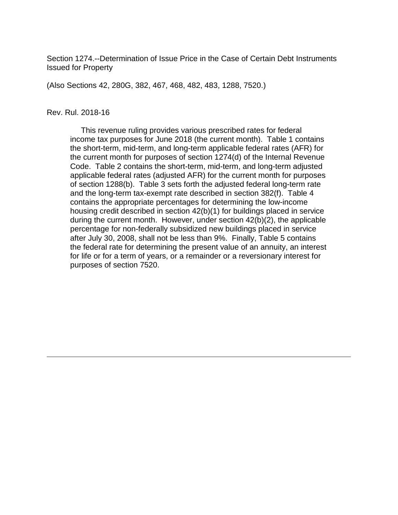Section 1274.--Determination of Issue Price in the Case of Certain Debt Instruments Issued for Property

(Also Sections 42, 280G, 382, 467, 468, 482, 483, 1288, 7520.)

#### Rev. Rul. 2018-16

 This revenue ruling provides various prescribed rates for federal income tax purposes for June 2018 (the current month). Table 1 contains the short-term, mid-term, and long-term applicable federal rates (AFR) for the current month for purposes of section 1274(d) of the Internal Revenue Code. Table 2 contains the short-term, mid-term, and long-term adjusted applicable federal rates (adjusted AFR) for the current month for purposes of section 1288(b). Table 3 sets forth the adjusted federal long-term rate and the long-term tax-exempt rate described in section 382(f). Table 4 contains the appropriate percentages for determining the low-income housing credit described in section 42(b)(1) for buildings placed in service during the current month. However, under section 42(b)(2), the applicable percentage for non-federally subsidized new buildings placed in service after July 30, 2008, shall not be less than 9%. Finally, Table 5 contains the federal rate for determining the present value of an annuity, an interest for life or for a term of years, or a remainder or a reversionary interest for purposes of section 7520.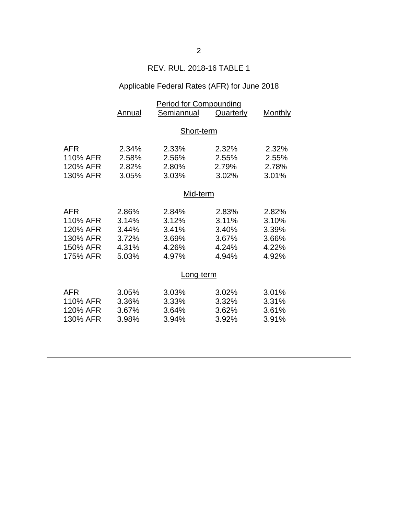## REV. RUL. 2018-16 TABLE 1

# Applicable Federal Rates (AFR) for June 2018

|            | Period for Compounding |            |                  |         |  |  |
|------------|------------------------|------------|------------------|---------|--|--|
|            | Annual                 | Semiannual | <b>Quarterly</b> | Monthly |  |  |
|            |                        |            |                  |         |  |  |
|            | Short-term             |            |                  |         |  |  |
|            |                        |            |                  |         |  |  |
| <b>AFR</b> | 2.34%                  | 2.33%      | 2.32%            | 2.32%   |  |  |
| 110% AFR   | 2.58%                  | 2.56%      | 2.55%            | 2.55%   |  |  |
| 120% AFR   | 2.82%                  | 2.80%      | 2.79%            | 2.78%   |  |  |
| 130% AFR   | 3.05%                  | 3.03%      | 3.02%            | 3.01%   |  |  |
|            | Mid-term               |            |                  |         |  |  |
|            |                        |            |                  |         |  |  |
| <b>AFR</b> | 2.86%                  | 2.84%      | 2.83%            | 2.82%   |  |  |
| 110% AFR   | 3.14%                  | 3.12%      | 3.11%            | 3.10%   |  |  |
| 120% AFR   | 3.44%                  | 3.41%      | 3.40%            | 3.39%   |  |  |
| 130% AFR   | 3.72%                  | 3.69%      | 3.67%            | 3.66%   |  |  |
| 150% AFR   | 4.31%                  | 4.26%      | 4.24%            | 4.22%   |  |  |
| 175% AFR   | 5.03%                  | 4.97%      | 4.94%            | 4.92%   |  |  |
|            |                        |            |                  |         |  |  |
|            | <u>Long-term</u>       |            |                  |         |  |  |
| <b>AFR</b> | 3.05%                  | 3.03%      | 3.02%            | 3.01%   |  |  |
| 110% AFR   | 3.36%                  | 3.33%      | 3.32%            | 3.31%   |  |  |
| 120% AFR   | 3.67%                  | 3.64%      | 3.62%            | 3.61%   |  |  |
|            |                        |            |                  |         |  |  |
| 130% AFR   | 3.98%                  | 3.94%      | 3.92%            | 3.91%   |  |  |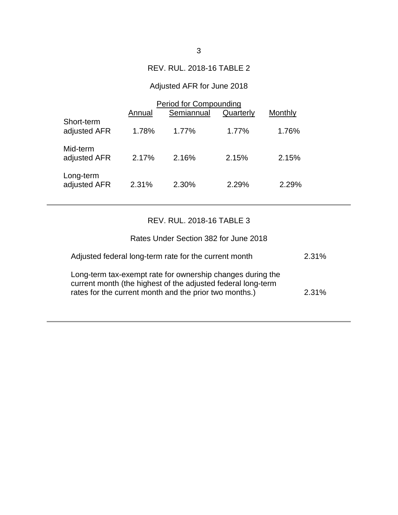### REV. RUL. 2018-16 TABLE 2

# Adjusted AFR for June 2018

|                            | Period for Compounding |            |           |         |  |
|----------------------------|------------------------|------------|-----------|---------|--|
|                            | Annual                 | Semiannual | Quarterly | Monthly |  |
| Short-term<br>adjusted AFR | 1.78%                  | $1.77\%$   | 1.77%     | 1.76%   |  |
| Mid-term<br>adjusted AFR   | 2.17%                  | 2.16%      | 2.15%     | 2.15%   |  |
| Long-term<br>adjusted AFR  | 2.31%                  | 2.30%      | 2.29%     | 2.29%   |  |

## REV. RUL. 2018-16 TABLE 3

| Rates Under Section 382 for June 2018                                                                                                                                                |       |
|--------------------------------------------------------------------------------------------------------------------------------------------------------------------------------------|-------|
| Adjusted federal long-term rate for the current month                                                                                                                                | 2.31% |
| Long-term tax-exempt rate for ownership changes during the<br>current month (the highest of the adjusted federal long-term<br>rates for the current month and the prior two months.) | 2.31% |